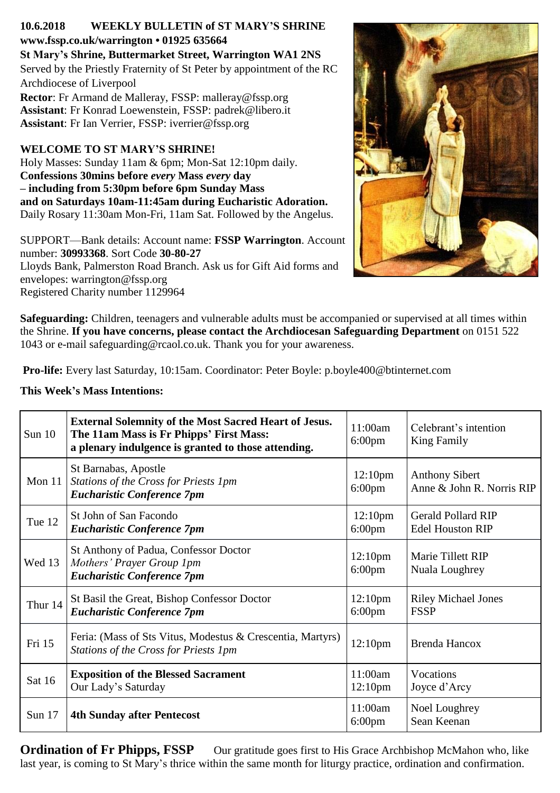## **10.6.2018 WEEKLY BULLETIN of ST MARY'S SHRINE www.fssp.co.uk/warrington • 01925 635664**

**St Mary's Shrine, Buttermarket Street, Warrington WA1 2NS** Served by the Priestly Fraternity of St Peter by appointment of the RC Archdiocese of Liverpool

**Rector**: Fr Armand de Malleray, FSSP: malleray@fssp.org **Assistant**: Fr Konrad Loewenstein, FSSP: padrek@libero.it **Assistant**: Fr Ian Verrier, FSSP: iverrier*@*fssp.org

# **WELCOME TO ST MARY'S SHRINE!**

Holy Masses: Sunday 11am & 6pm; Mon-Sat 12:10pm daily. **Confessions 30mins before** *every* **Mass** *every* **day – including from 5:30pm before 6pm Sunday Mass and on Saturdays 10am-11:45am during Eucharistic Adoration.** Daily Rosary 11:30am Mon-Fri, 11am Sat. Followed by the Angelus.

SUPPORT—Bank details: Account name: **FSSP Warrington**. Account number: **30993368**. Sort Code **30-80-27** Lloyds Bank, Palmerston Road Branch. Ask us for Gift Aid forms and envelopes: warrington*@*fssp.org Registered Charity number 1129964



**Safeguarding:** Children, teenagers and vulnerable adults must be accompanied or supervised at all times within the Shrine. **If you have concerns, please contact the Archdiocesan Safeguarding Department** on 0151 522 1043 or e-mail safeguarding@rcaol.co.uk. Thank you for your awareness.

**Pro-life:** Every last Saturday, 10:15am. Coordinator: Peter Boyle: p.boyle400*@*btinternet.com

## **This Week's Mass Intentions:**

| Sun $10$ | <b>External Solemnity of the Most Sacred Heart of Jesus.</b><br>The 11am Mass is Fr Phipps' First Mass:<br>a plenary indulgence is granted to those attending. | 11:00am<br>$6:00 \text{pm}$             | Celebrant's intention<br>King Family                 |
|----------|----------------------------------------------------------------------------------------------------------------------------------------------------------------|-----------------------------------------|------------------------------------------------------|
| Mon $11$ | St Barnabas, Apostle<br>Stations of the Cross for Priests 1pm<br><b>Eucharistic Conference 7pm</b>                                                             | 12:10 <sub>pm</sub><br>$6:00$ pm        | <b>Anthony Sibert</b><br>Anne & John R. Norris RIP   |
| Tue 12   | St John of San Facondo<br><b>Eucharistic Conference 7pm</b>                                                                                                    | 12:10 <sub>pm</sub><br>$6:00 \text{pm}$ | <b>Gerald Pollard RIP</b><br><b>Edel Houston RIP</b> |
| Wed 13   | St Anthony of Padua, Confessor Doctor<br>Mothers' Prayer Group 1pm<br><b>Eucharistic Conference 7pm</b>                                                        | 12:10 <sub>pm</sub><br>$6:00$ pm        | Marie Tillett RIP<br>Nuala Loughrey                  |
| Thur 14  | St Basil the Great, Bishop Confessor Doctor<br><b>Eucharistic Conference 7pm</b>                                                                               | 12:10 <sub>pm</sub><br>$6:00$ pm        | <b>Riley Michael Jones</b><br><b>FSSP</b>            |
| Fri 15   | Feria: (Mass of Sts Vitus, Modestus & Crescentia, Martyrs)<br>Stations of the Cross for Priests 1pm                                                            | 12:10 <sub>pm</sub>                     | Brenda Hancox                                        |
| Sat 16   | <b>Exposition of the Blessed Sacrament</b><br>Our Lady's Saturday                                                                                              | 11:00am<br>12:10 <sub>pm</sub>          | Vocations<br>Joyce d'Arcy                            |
| Sun $17$ | <b>4th Sunday after Pentecost</b>                                                                                                                              | 11:00am<br>$6:00$ pm                    | Noel Loughrey<br>Sean Keenan                         |

**Ordination of Fr Phipps, FSSP** Our gratitude goes first to His Grace Archbishop McMahon who, like last year, is coming to St Mary's thrice within the same month for liturgy practice, ordination and confirmation.